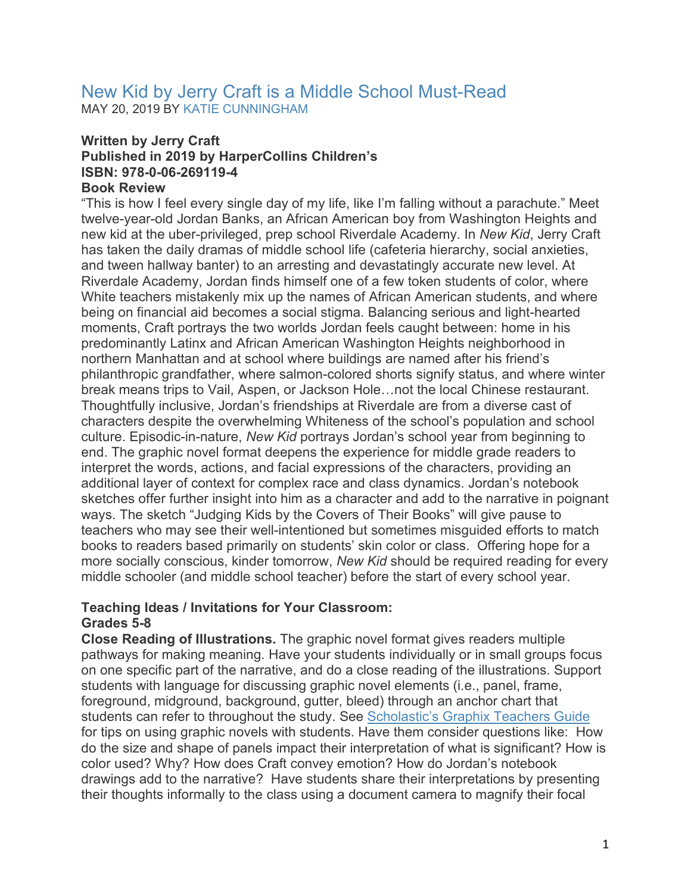## New Kid by Jerry Craft is a Middle School Must-Read MAY 20, 2019 BY [KATIE CUNNINGHAM](http://www.theclassroombookshelf.com/author/kcunningham/)

# **Written by Jerry Craft Published in 2019 by HarperCollins Children's ISBN: 978-0-06-269119-4**

# **Book Review**

"This is how I feel every single day of my life, like I'm falling without a parachute." Meet twelve-year-old Jordan Banks, an African American boy from Washington Heights and new kid at the uber-privileged, prep school Riverdale Academy. In *New Kid*, Jerry Craft has taken the daily dramas of middle school life (cafeteria hierarchy, social anxieties, and tween hallway banter) to an arresting and devastatingly accurate new level. At Riverdale Academy, Jordan finds himself one of a few token students of color, where White teachers mistakenly mix up the names of African American students, and where being on financial aid becomes a social stigma. Balancing serious and light-hearted moments, Craft portrays the two worlds Jordan feels caught between: home in his predominantly Latinx and African American Washington Heights neighborhood in northern Manhattan and at school where buildings are named after his friend's philanthropic grandfather, where salmon-colored shorts signify status, and where winter break means trips to Vail, Aspen, or Jackson Hole…not the local Chinese restaurant. Thoughtfully inclusive, Jordan's friendships at Riverdale are from a diverse cast of characters despite the overwhelming Whiteness of the school's population and school culture. Episodic-in-nature, *New Kid* portrays Jordan's school year from beginning to end. The graphic novel format deepens the experience for middle grade readers to interpret the words, actions, and facial expressions of the characters, providing an additional layer of context for complex race and class dynamics. Jordan's notebook sketches offer further insight into him as a character and add to the narrative in poignant ways. The sketch "Judging Kids by the Covers of Their Books" will give pause to teachers who may see their well-intentioned but sometimes misguided efforts to match books to readers based primarily on students' skin color or class. Offering hope for a more socially conscious, kinder tomorrow, *New Kid* should be required reading for every middle schooler (and middle school teacher) before the start of every school year.

#### **Teaching Ideas / Invitations for Your Classroom: Grades 5-8**

**Close Reading of Illustrations.** The graphic novel format gives readers multiple pathways for making meaning. Have your students individually or in small groups focus on one specific part of the narrative, and do a close reading of the illustrations. Support students with language for discussing graphic novel elements (i.e., panel, frame, foreground, midground, background, gutter, bleed) through an anchor chart that students can refer to throughout the study. See [Scholastic's Graphix Teachers Guide](http://www.scholastic.com/graphix_teacher/pdf/Graphix%20Teachers%20guide.pdf) for tips on using graphic novels with students. Have them consider questions like: How do the size and shape of panels impact their interpretation of what is significant? How is color used? Why? How does Craft convey emotion? How do Jordan's notebook drawings add to the narrative? Have students share their interpretations by presenting their thoughts informally to the class using a document camera to magnify their focal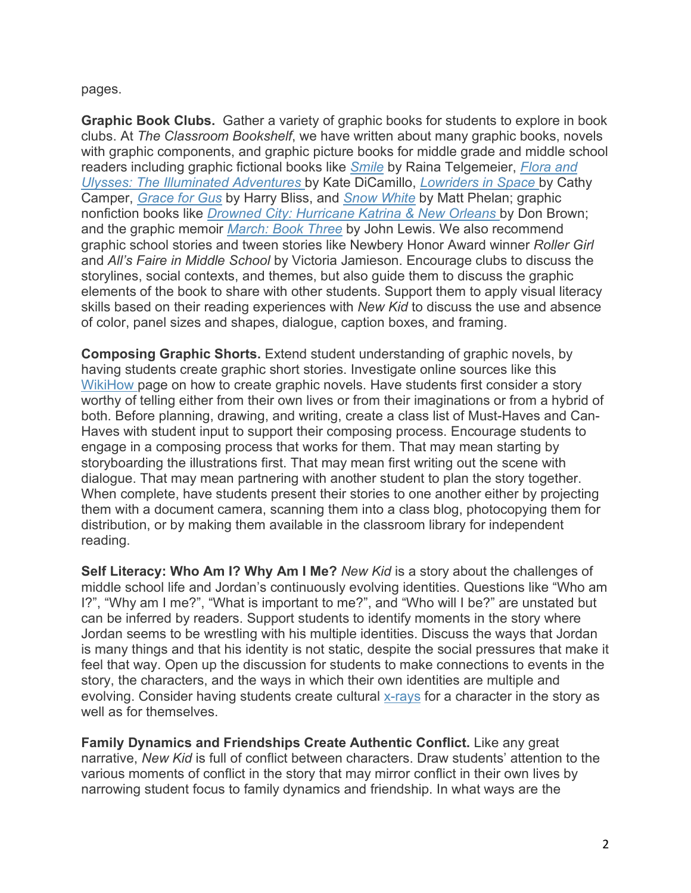#### pages.

**Graphic Book Clubs.** Gather a variety of graphic books for students to explore in book clubs. At *The Classroom Bookshelf*, we have written about many graphic books, novels with graphic components, and graphic picture books for middle grade and middle school readers including graphic fictional books like *[Smile](http://www.theclassroombookshelf.com/2011/04/smile/)* by Raina Telgemeier, *[Flora and](http://www.theclassroombookshelf.com/2014/02/2014-newbery-award-winner-flora-ulysses-the-illuminated-adventures/)  [Ulysses: The Illuminated Adventures](http://www.theclassroombookshelf.com/2014/02/2014-newbery-award-winner-flora-ulysses-the-illuminated-adventures/)* by Kate DiCamillo, *[Lowriders in Space](http://www.theclassroombookshelf.com/2015/01/lowriders-in-space/)* by Cathy Camper, *[Grace for Gus](http://www.theclassroombookshelf.com/2018/04/grace-for-gus/)* by Harry Bliss, and *[Snow White](http://www.theclassroombookshelf.com/2016/10/snow-white/)* by Matt Phelan; graphic nonfiction books like *[Drowned City: Hurricane Katrina & New Orleans](http://www.theclassroombookshelf.com/2016/02/drowned-city-2016-orbis-pictus-winner-sibert-honor/)* by Don Brown; and the graphic memoir *[March: Book Three](http://www.theclassroombookshelf.com/2017/02/march-book-three-national-book-award-sibert-medal-yalsa-excellence-in-nonfiction-coretta-scott-king-author-award-printz-award/)* by John Lewis. We also recommend graphic school stories and tween stories like Newbery Honor Award winner *Roller Girl* and *All's Faire in Middle School* by Victoria Jamieson. Encourage clubs to discuss the storylines, social contexts, and themes, but also guide them to discuss the graphic elements of the book to share with other students. Support them to apply visual literacy skills based on their reading experiences with *New Kid* to discuss the use and absence of color, panel sizes and shapes, dialogue, caption boxes, and framing.

**Composing Graphic Shorts.** Extend student understanding of graphic novels, by having students create graphic short stories. Investigate online sources like this [WikiHow p](https://www.wikihow.com/Create-a-Graphic-Novel)age on how to create graphic novels. Have students first consider a story worthy of telling either from their own lives or from their imaginations or from a hybrid of both. Before planning, drawing, and writing, create a class list of Must-Haves and Can-Haves with student input to support their composing process. Encourage students to engage in a composing process that works for them. That may mean starting by storyboarding the illustrations first. That may mean first writing out the scene with dialogue. That may mean partnering with another student to plan the story together. When complete, have students present their stories to one another either by projecting them with a document camera, scanning them into a class blog, photocopying them for distribution, or by making them available in the classroom library for independent reading.

**Self Literacy: Who Am I? Why Am I Me?** *New Kid* is a story about the challenges of middle school life and Jordan's continuously evolving identities. Questions like "Who am I?", "Why am I me?", "What is important to me?", and "Who will I be?" are unstated but can be inferred by readers. Support students to identify moments in the story where Jordan seems to be wrestling with his multiple identities. Discuss the ways that Jordan is many things and that his identity is not static, despite the social pressures that make it feel that way. Open up the discussion for students to make connections to events in the story, the characters, and the ways in which their own identities are multiple and evolving. Consider having students create cultural [x-rays](https://wowlit.org/Documents/LangandCultureKitDocs/22CriticallyReadingtheWorld.pdf) for a character in the story as well as for themselves.

**Family Dynamics and Friendships Create Authentic Conflict.** Like any great narrative, *New Kid* is full of conflict between characters. Draw students' attention to the various moments of conflict in the story that may mirror conflict in their own lives by narrowing student focus to family dynamics and friendship. In what ways are the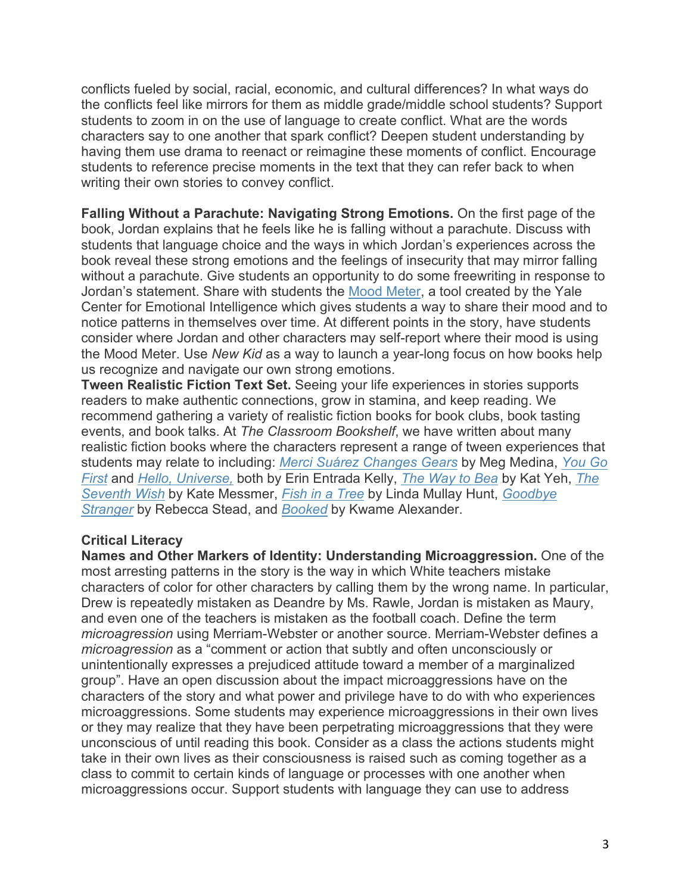conflicts fueled by social, racial, economic, and cultural differences? In what ways do the conflicts feel like mirrors for them as middle grade/middle school students? Support students to zoom in on the use of language to create conflict. What are the words characters say to one another that spark conflict? Deepen student understanding by having them use drama to reenact or reimagine these moments of conflict. Encourage students to reference precise moments in the text that they can refer back to when writing their own stories to convey conflict.

**Falling Without a Parachute: Navigating Strong Emotions.** On the first page of the book, Jordan explains that he feels like he is falling without a parachute. Discuss with students that language choice and the ways in which Jordan's experiences across the book reveal these strong emotions and the feelings of insecurity that may mirror falling without a parachute. Give students an opportunity to do some freewriting in response to Jordan's statement. Share with students the [Mood Meter,](https://www.greatschools.org/gk/articles/the-mood-meter-a-tool-for-developing-greater-self-awareness-and-awareness-of-others/) a tool created by the Yale Center for Emotional Intelligence which gives students a way to share their mood and to notice patterns in themselves over time. At different points in the story, have students consider where Jordan and other characters may self-report where their mood is using the Mood Meter. Use *New Kid* as a way to launch a year-long focus on how books help us recognize and navigate our own strong emotions.

**Tween Realistic Fiction Text Set.** Seeing your life experiences in stories supports readers to make authentic connections, grow in stamina, and keep reading. We recommend gathering a variety of realistic fiction books for book clubs, book tasting events, and book talks. At *The Classroom Bookshelf*, we have written about many realistic fiction books where the characters represent a range of tween experiences that students may relate to including: *[Merci Suárez Changes Gears](http://www.theclassroombookshelf.com/2018/10/merci-suarez-changes-gears/)* by Meg Medina, *[You Go](http://www.theclassroombookshelf.com/2018/10/you-go-first/)  [First](http://www.theclassroombookshelf.com/2018/10/you-go-first/)* and *[Hello, Universe,](http://www.theclassroombookshelf.com/2018/02/2018-newbery-award-winner-hello-universe/)* both by Erin Entrada Kelly, *[The Way to Bea](http://www.theclassroombookshelf.com/2017/09/the-way-to-bea/)* by Kat Yeh, *[The](http://www.theclassroombookshelf.com/2016/10/the-seventh-wish/)  [Seventh Wish](http://www.theclassroombookshelf.com/2016/10/the-seventh-wish/)* by Kate Messmer, *[Fish in a Tree](http://www.theclassroombookshelf.com/2015/11/fish-in-a-tree/)* by Linda Mullay Hunt, *[Goodbye](http://www.theclassroombookshelf.com/2015/06/goodbye-stranger/)  [Stranger](http://www.theclassroombookshelf.com/2015/06/goodbye-stranger/)* by Rebecca Stead, and *[Booked](http://www.theclassroombookshelf.com/2016/05/booked/)* by Kwame Alexander.

#### **Critical Literacy**

**Names and Other Markers of Identity: Understanding Microaggression.** One of the most arresting patterns in the story is the way in which White teachers mistake characters of color for other characters by calling them by the wrong name. In particular, Drew is repeatedly mistaken as Deandre by Ms. Rawle, Jordan is mistaken as Maury, and even one of the teachers is mistaken as the football coach. Define the term *microagression* using Merriam-Webster or another source. Merriam-Webster defines a *microagression* as a "comment or action that subtly and often unconsciously or unintentionally expresses a prejudiced attitude toward a member of a marginalized group". Have an open discussion about the impact microaggressions have on the characters of the story and what power and privilege have to do with who experiences microaggressions. Some students may experience microaggressions in their own lives or they may realize that they have been perpetrating microaggressions that they were unconscious of until reading this book. Consider as a class the actions students might take in their own lives as their consciousness is raised such as coming together as a class to commit to certain kinds of language or processes with one another when microaggressions occur. Support students with language they can use to address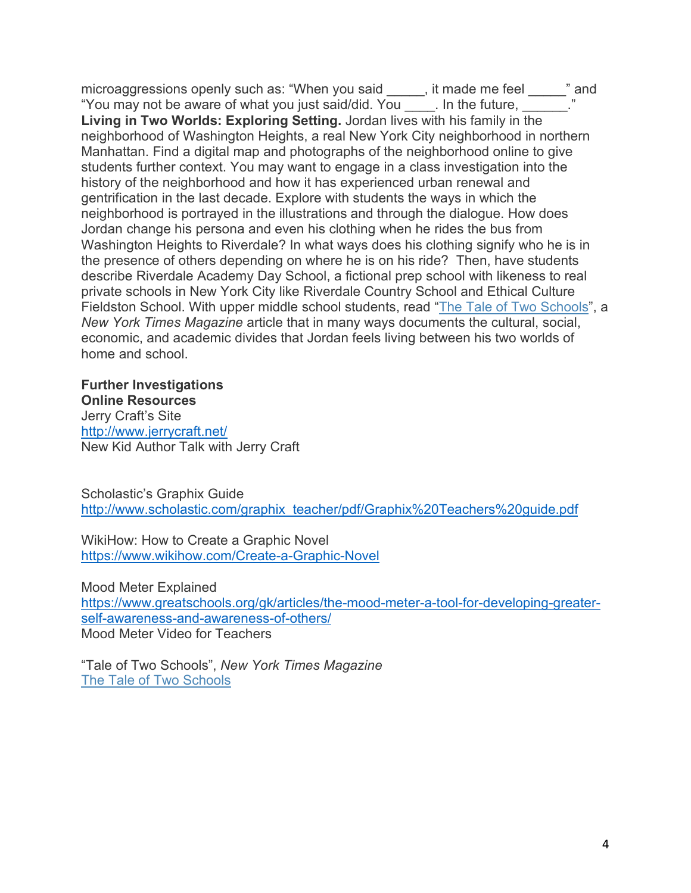microaggressions openly such as: "When you said \_\_\_\_\_, it made me feel \_\_\_\_\_" and "You may not be aware of what you just said/did. You \_\_\_\_. In the future, \_\_\_\_\_\_." **Living in Two Worlds: Exploring Setting.** Jordan lives with his family in the neighborhood of Washington Heights, a real New York City neighborhood in northern Manhattan. Find a digital map and photographs of the neighborhood online to give students further context. You may want to engage in a class investigation into the history of the neighborhood and how it has experienced urban renewal and gentrification in the last decade. Explore with students the ways in which the neighborhood is portrayed in the illustrations and through the dialogue. How does Jordan change his persona and even his clothing when he rides the bus from Washington Heights to Riverdale? In what ways does his clothing signify who he is in the presence of others depending on where he is on his ride? Then, have students describe Riverdale Academy Day School, a fictional prep school with likeness to real private schools in New York City like Riverdale Country School and Ethical Culture Fieldston School. With upper middle school students, read ["The Tale of Two Schools"](https://www.nytimes.com/interactive/2014/05/04/magazine/tale-of-two-schools.html), a *New York Times Magazine* article that in many ways documents the cultural, social, economic, and academic divides that Jordan feels living between his two worlds of home and school.

**Further Investigations Online Resources** Jerry Craft's Site <http://www.jerrycraft.net/> New Kid Author Talk with Jerry Craft

Scholastic's Graphix Guide [http://www.scholastic.com/graphix\\_teacher/pdf/Graphix%20Teachers%20guide.pdf](http://www.scholastic.com/graphix_teacher/pdf/Graphix%20Teachers%20guide.pdf)

WikiHow: How to Create a Graphic Novel <https://www.wikihow.com/Create-a-Graphic-Novel>

Mood Meter Explained [https://www.greatschools.org/gk/articles/the-mood-meter-a-tool-for-developing-greater](https://www.greatschools.org/gk/articles/the-mood-meter-a-tool-for-developing-greater-self-awareness-and-awareness-of-others/)[self-awareness-and-awareness-of-others/](https://www.greatschools.org/gk/articles/the-mood-meter-a-tool-for-developing-greater-self-awareness-and-awareness-of-others/) Mood Meter Video for Teachers

"Tale of Two Schools", *New York Times Magazine* [The Tale of Two Schools](https://www.nytimes.com/interactive/2014/05/04/magazine/tale-of-two-schools.html)